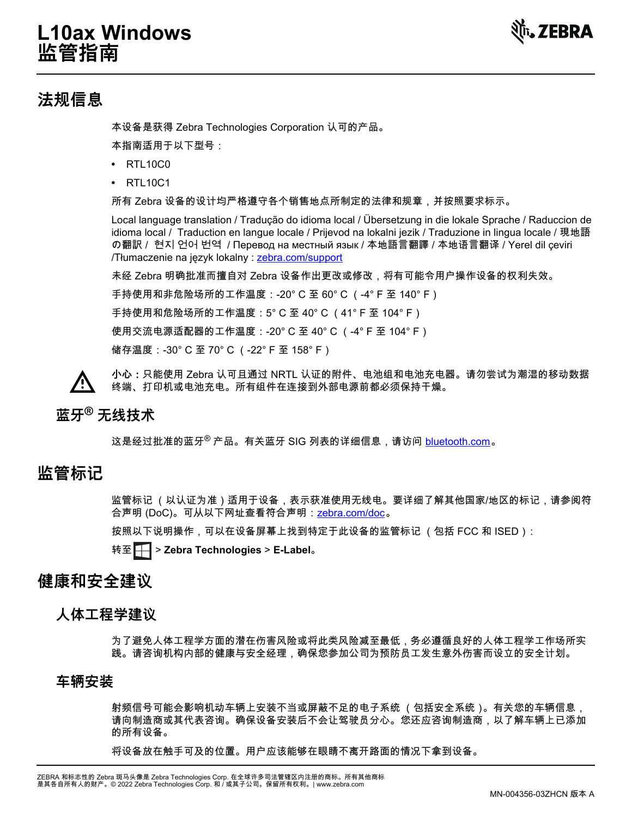## **L10ax Windows 监管指南**



## **法规信息**

本设备是获得 Zebra Technologies Corporation 认可的产品。

本指南适用于以下型号:

- **•** RTL10C0
- **•** RTL10C1

所有 Zebra 设备的设计均严格遵守各个销售地点所制定的法律和规章,并按照要求标示。

Local language translation / Tradução do idioma local / Übersetzung in die lokale Sprache / Raduccion de idioma local / Traduction en langue locale / Prijevod na lokalni jezik / Traduzione in lingua locale / 現地語 の翻訳 / 현지 언어 번역 / Перевод на местный язык / 本地語言翻譯 / 本地语言翻译 / Yerel dil çeviri /Tłumaczenie na język lokalny : [zebra.com/support](http://www.zebra.com/support)

未经 Zebra 明确批准而擅自对 Zebra 设备作出更改或修改,将有可能令用户操作设备的权利失效。

手持使用和非危险场所的工作温度:-20° C 至 60° C (-4° F 至 140° F)

手持使用和危险场所的工作温度:5° C 至 40° C (41° F 至 104° F)

使用交流电源适配器的工作温度:-20° C 至 40° C (-4° F 至 104° F)

储存温度:-30° C 至 70° C (-22° F 至 158° F)

**小心:**只能使用 Zebra 认可且通过 NRTL 认证的附件、电池组和电池充电器。请勿尝试为潮湿的移动数据 终端、打印机或电池充电。所有组件在连接到外部电源前都必须保持干燥。

## **蓝牙® 无线技术**

这是经过批准的蓝牙<sup>®</sup> 产品。有关蓝牙 SIG 列表的详细信息,请访问 <u>bluetooth.com</u>。

## **监管标记**

监管标记 (以认证为准)适用于设备,表示获准使用无线电。要详细了解其他国家/地区的标记,请参阅符 合声明 (DoC)。可从以下网址查看符合声明:zebra.com/doc。

按照以下说明操作,可以在设备屏幕上找到特定于此设备的监管标记 (包括 FCC 和 ISED):

转至 > **Zebra Technologies** > **E-Label**。

## **健康和安全建议**

### **人体工程学建议**

为了避免人体工程学方面的潜在伤害风险或将此类风险减至最低,务必遵循良好的人体工程学工作场所实 践。请咨询机构内部的健康与安全经理,确保您参加公司为预防员工发生意外伤害而设立的安全计划。

### **车辆安装**

射频信号可能会影响机动车辆上安装不当或屏蔽不足的电子系统 (包括安全系统)。有关您的车辆信息, 请向制造商或其代表咨询。确保设备安装后不会让驾驶员分心。您还应咨询制造商,以了解车辆上已添加 的所有设备。

将设备放在触手可及的位置。用户应该能够在眼睛不离开路面的情况下拿到设备。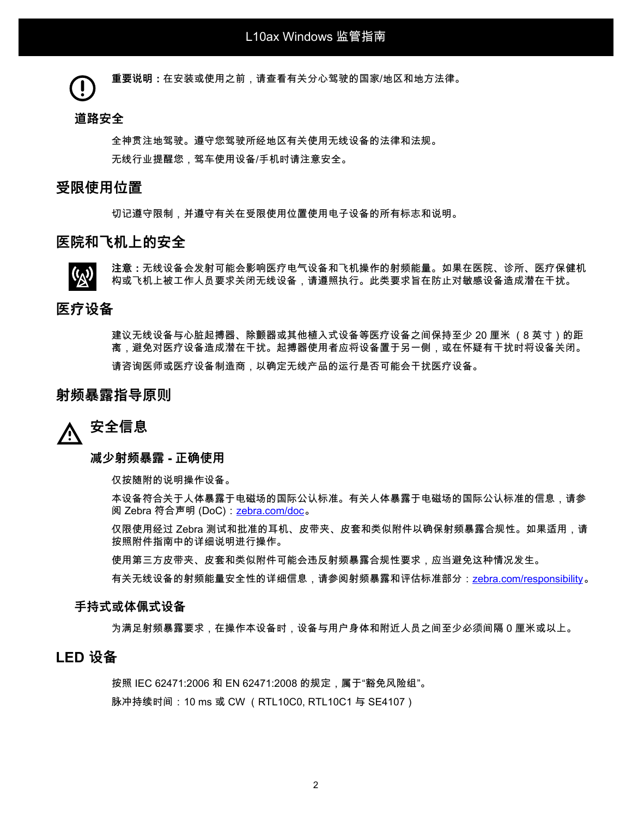**重要说明:**在安装或使用之前,请查看有关分心驾驶的国家/地区和地方法律。

#### **道路安全**

全神贯注地驾驶。遵守您驾驶所经地区有关使用无线设备的法律和法规。 无线行业提醒您,驾车使用设备/手机时请注意安全。

#### **受限使用位置**

切记遵守限制,并遵守有关在受限使用位置使用电子设备的所有标志和说明。

#### **医院和飞机上的安全**

**注意:**无线设备会发射可能会影响医疗电气设备和飞机操作的射频能量。如果在医院、诊所、医疗保健机 构或飞机上被工作人员要求关闭无线设备,请遵照执行。此类要求旨在防止对敏感设备造成潜在干扰。

#### **医疗设备**

建议无线设备与心脏起搏器、除颤器或其他植入式设备等医疗设备之间保持至少 20 厘米 (8 英寸)的距 离,避免对医疗设备造成潜在干扰。起搏器使用者应将设备置于另一侧,或在怀疑有干扰时将设备关闭。 请咨询医师或医疗设备制造商,以确定无线产品的运行是否可能会干扰医疗设备。

#### **射频暴露指导原则**

# **安全信息**

#### **减少射频暴露 - 正确使用**

仅按随附的说明操作设备。

本设备符合关于人体暴露于电磁场的国际公认标准。有关人体暴露于电磁场的国际公认标准的信息,请参 阅 Zebra 符合声明 (DoC)[:zebra.com/doc](http://www.zebra.com/doc) 。

仅限使用经过 Zebra 测试和批准的耳机、皮带夹、皮套和类似附件以确保射频暴露合规性。如果适用,请 按照附件指南中的详细说明进行操作。

使用第三方皮带夹、皮套和类似附件可能会违反射频暴露合规性要求,应当避免这种情况发生。

有关无线设备的射频能量安全性的详细信息,请参阅射频暴露和评估标准部分:[zebra.com/responsibility](https://www.zebra.com/responsibility)。

#### **手持式或体佩式设备**

为满足射频暴露要求,在操作本设备时,设备与用户身体和附近人员之间至少必须间隔 0 厘米或以上。

### **LED 设备**

按照 IEC 62471:2006 和 EN 62471:2008 的规定,属于"豁免风险组"。 脉冲持续时间: 10 ms 或 CW (RTL10C0, RTL10C1 与 SE4107)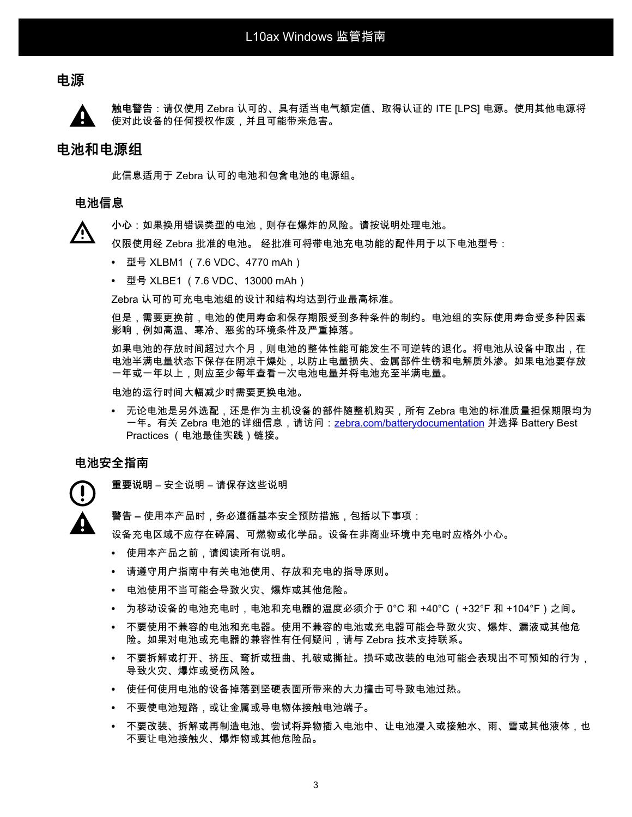### **电源**



**触电警告**:请仅使用 Zebra 认可的、具有适当电气额定值、取得认证的 ITE [LPS] 电源。使用其他电源将 使对此设备的任何授权作废,并且可能带来危害。

#### **电池和电源组**

此信息适用于 Zebra 认可的电池和包含电池的电源组。

#### **电池信息**

**小心**:如果换用错误类型的电池,则存在爆炸的风险。请按说明处理电池。

仅限使用经 Zebra 批准的电池。 经批准可将带电池充电功能的配件用于以下电池型号:

- **•** 型号 XLBM1 (7.6 VDC、4770 mAh)
- **•** 型号 XLBE1 (7.6 VDC、13000 mAh)

Zebra 认可的可充电电池组的设计和结构均达到行业最高标准。

但是,需要更换前,电池的使用寿命和保存期限受到多种条件的制约。电池组的实际使用寿命受多种因素 影响,例如高温、寒冷、恶劣的环境条件及严重掉落。

如果电池的存放时间超过六个月,则电池的整体性能可能发生不可逆转的退化。将电池从设备中取出,在 电池半满电量状态下保存在阴凉干燥处,以防止电量损失、金属部件生锈和电解质外渗。如果电池要存放 一年或一年以上,则应至少每年查看一次电池电量并将电池充至半满电量。

电池的运行时间大幅减少时需要更换电池。

**•** 无论电池是另外选配,还是作为主机设备的部件随整机购买,所有 Zebra 电池的标准质量担保期限均为 一年。有关 Zebra 电池的详细信息,请访问:<u>zebra.com/batterydocumentation</u> 并选择 Battery Best Practices (电池最佳实践)链接。

#### **电池安全指南**

**重要说明** – 安全说明 – 请保存这些说明

**警告 –** 使用本产品时,务必遵循基本安全预防措施,包括以下事项:

设备充电区域不应存在碎屑、可燃物或化学品。设备在非商业环境中充电时应格外小心。

- **•** 使用本产品之前,请阅读所有说明。
- **•** 请遵守用户指南中有关电池使用、存放和充电的指导原则。
- **•** 电池使用不当可能会导致火灾、爆炸或其他危险。
- **•** 为移动设备的电池充电时,电池和充电器的温度必须介于 0°C 和 +40°C (+32°F 和 +104°F)之间。
- **•** 不要使用不兼容的电池和充电器。使用不兼容的电池或充电器可能会导致火灾、爆炸、漏液或其他危 险。如果对电池或充电器的兼容性有任何疑问,请与 Zebra 技术支持联系。
- **•** 不要拆解或打开、挤压、弯折或扭曲、扎破或撕扯。损坏或改装的电池可能会表现出不可预知的行为, 导致火灾、爆炸或受伤风险。
- **•** 使任何使用电池的设备掉落到坚硬表面所带来的大力撞击可导致电池过热。
- **•** 不要使电池短路,或让金属或导电物体接触电池端子。
- **•** 不要改装、拆解或再制造电池、尝试将异物插入电池中、让电池浸入或接触水、雨、雪或其他液体,也 不要让电池接触火、爆炸物或其他危险品。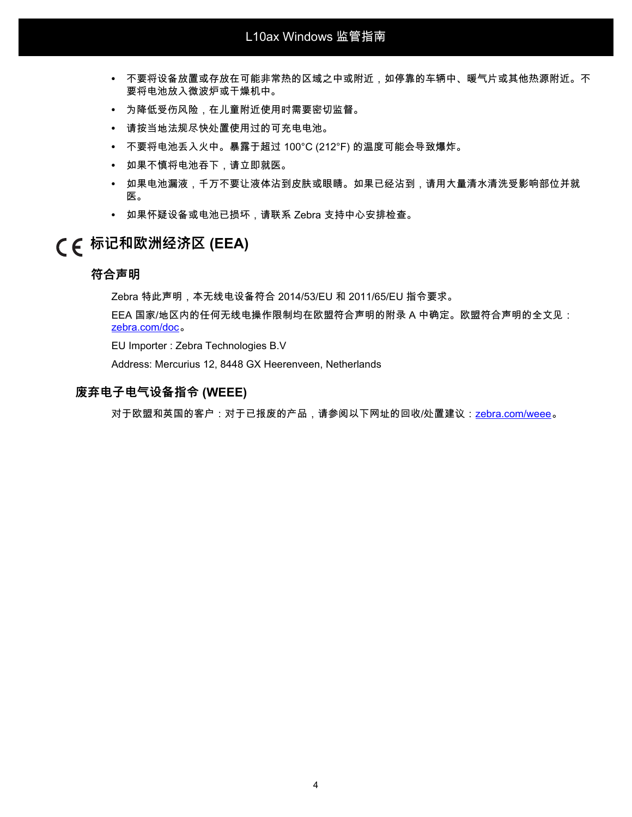- **•** 不要将设备放置或存放在可能非常热的区域之中或附近,如停靠的车辆中、暖气片或其他热源附近。不 要将电池放入微波炉或干燥机中。
- **•** 为降低受伤风险,在儿童附近使用时需要密切监督。
- **•** 请按当地法规尽快处置使用过的可充电电池。
- **•** 不要将电池丢入火中。暴露于超过 100°C (212°F) 的温度可能会导致爆炸。
- **•** 如果不慎将电池吞下,请立即就医。
- **•** 如果电池漏液,千万不要让液体沾到皮肤或眼睛。如果已经沾到,请用大量清水清洗受影响部位并就 医。
- **•** 如果怀疑设备或电池已损坏,请联系 Zebra 支持中心安排检查。

## **标记和欧洲经济区 (EEA)**

#### **符合声明**

Zebra 特此声明,本无线电设备符合 2014/53/EU 和 2011/65/EU 指令要求。

EEA 国家/地区内的任何无线电操作限制均在欧盟符合声明的附录 A 中确定。欧盟符合声明的全文见: [zebra.com/doc](http://www.zebra.com/doc) 。

EU Importer : Zebra Technologies B.V

Address: Mercurius 12, 8448 GX Heerenveen, Netherlands

#### **废弃电子电气设备指令 (WEEE)**

对于欧盟和英国的客户:对于已报废的产品,请参阅以下网址的回收/处置建议:[zebra.com/weee](https://www.zebra.com/weee)。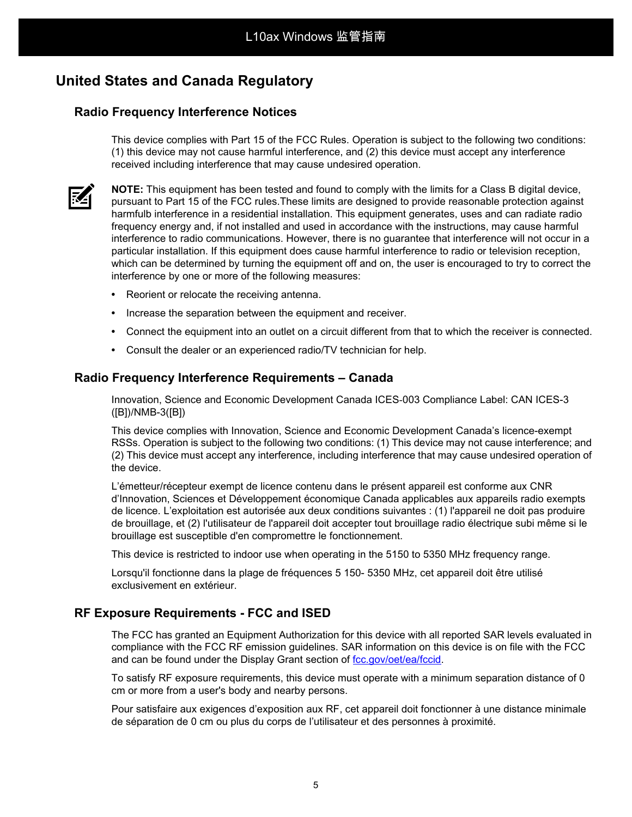## **United States and Canada Regulatory**

#### **Radio Frequency Interference Notices**

This device complies with Part 15 of the FCC Rules. Operation is subject to the following two conditions: (1) this device may not cause harmful interference, and (2) this device must accept any interference received including interference that may cause undesired operation.



**NOTE:** This equipment has been tested and found to comply with the limits for a Class B digital device, pursuant to Part 15 of the FCC rules.These limits are designed to provide reasonable protection against harmfulb interference in a residential installation. This equipment generates, uses and can radiate radio frequency energy and, if not installed and used in accordance with the instructions, may cause harmful interference to radio communications. However, there is no guarantee that interference will not occur in a particular installation. If this equipment does cause harmful interference to radio or television reception, which can be determined by turning the equipment off and on, the user is encouraged to try to correct the interference by one or more of the following measures:

- **•** Reorient or relocate the receiving antenna.
- **•** Increase the separation between the equipment and receiver.
- **•** Connect the equipment into an outlet on a circuit different from that to which the receiver is connected.
- **•** Consult the dealer or an experienced radio/TV technician for help.

#### **Radio Frequency Interference Requirements – Canada**

Innovation, Science and Economic Development Canada ICES-003 Compliance Label: CAN ICES-3 ([B])/NMB-3([B])

This device complies with Innovation, Science and Economic Development Canada's licence-exempt RSSs. Operation is subject to the following two conditions: (1) This device may not cause interference; and (2) This device must accept any interference, including interference that may cause undesired operation of the device.

L'émetteur/récepteur exempt de licence contenu dans le présent appareil est conforme aux CNR d'Innovation, Sciences et Développement économique Canada applicables aux appareils radio exempts de licence. L'exploitation est autorisée aux deux conditions suivantes : (1) l'appareil ne doit pas produire de brouillage, et (2) l'utilisateur de l'appareil doit accepter tout brouillage radio électrique subi même si le brouillage est susceptible d'en compromettre le fonctionnement.

This device is restricted to indoor use when operating in the 5150 to 5350 MHz frequency range.

Lorsqu'il fonctionne dans la plage de fréquences 5 150- 5350 MHz, cet appareil doit être utilisé exclusivement en extérieur.

#### **RF Exposure Requirements - FCC and ISED**

The FCC has granted an Equipment Authorization for this device with all reported SAR levels evaluated in compliance with the FCC RF emission guidelines. SAR information on this device is on file with the FCC and can be found under the Display Grant section of [fcc.gov/oet/ea/fccid](http://www.fcc.gov/oet/ea/fccid).

To satisfy RF exposure requirements, this device must operate with a minimum separation distance of 0 cm or more from a user's body and nearby persons.

Pour satisfaire aux exigences d'exposition aux RF, cet appareil doit fonctionner à une distance minimale de séparation de 0 cm ou plus du corps de l'utilisateur et des personnes à proximité.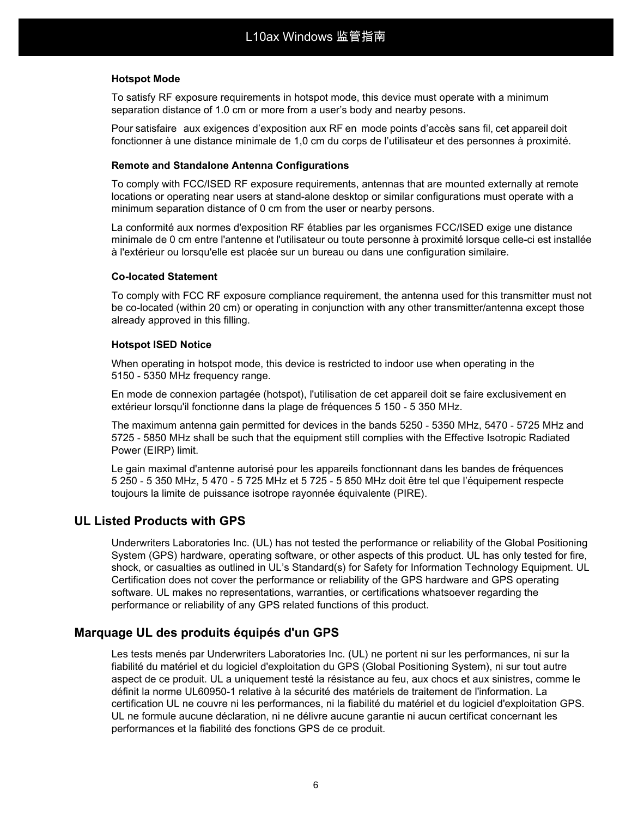#### **Hotspot Mode**

To satisfy RF exposure requirements in hotspot mode, this device must operate with a minimum separation distance of 1.0 cm or more from a user's body and nearby pesons.

Pour satisfaire aux exigences d'exposition aux RF en mode points d'accès sans fil, cet appareil doit fonctionner à une distance minimale de 1,0 cm du corps de l'utilisateur et des personnes à proximité.

#### **Remote and Standalone Antenna Configurations**

To comply with FCC/ISED RF exposure requirements, antennas that are mounted externally at remote locations or operating near users at stand-alone desktop or similar configurations must operate with a minimum separation distance of 0 cm from the user or nearby persons.

La conformité aux normes d'exposition RF établies par les organismes FCC/ISED exige une distance minimale de 0 cm entre l'antenne et l'utilisateur ou toute personne à proximité lorsque celle-ci est installée à l'extérieur ou lorsqu'elle est placée sur un bureau ou dans une configuration similaire.

#### **Co-located Statement**

To comply with FCC RF exposure compliance requirement, the antenna used for this transmitter must not be co-located (within 20 cm) or operating in conjunction with any other transmitter/antenna except those already approved in this filling.

#### **Hotspot ISED Notice**

When operating in hotspot mode, this device is restricted to indoor use when operating in the 5150 - 5350 MHz frequency range.

En mode de connexion partagée (hotspot), l'utilisation de cet appareil doit se faire exclusivement en extérieur lorsqu'il fonctionne dans la plage de fréquences 5 150 - 5 350 MHz.

The maximum antenna gain permitted for devices in the bands 5250 - 5350 MHz, 5470 - 5725 MHz and 5725 - 5850 MHz shall be such that the equipment still complies with the Effective Isotropic Radiated Power (EIRP) limit.

Le gain maximal d'antenne autorisé pour les appareils fonctionnant dans les bandes de fréquences 5 250 - 5 350 MHz, 5 470 - 5 725 MHz et 5 725 - 5 850 MHz doit être tel que l'équipement respecte toujours la limite de puissance isotrope rayonnée équivalente (PIRE).

#### **UL Listed Products with GPS**

Underwriters Laboratories Inc. (UL) has not tested the performance or reliability of the Global Positioning System (GPS) hardware, operating software, or other aspects of this product. UL has only tested for fire, shock, or casualties as outlined in UL's Standard(s) for Safety for Information Technology Equipment. UL Certification does not cover the performance or reliability of the GPS hardware and GPS operating software. UL makes no representations, warranties, or certifications whatsoever regarding the performance or reliability of any GPS related functions of this product.

### **Marquage UL des produits équipés d'un GPS**

Les tests menés par Underwriters Laboratories Inc. (UL) ne portent ni sur les performances, ni sur la fiabilité du matériel et du logiciel d'exploitation du GPS (Global Positioning System), ni sur tout autre aspect de ce produit. UL a uniquement testé la résistance au feu, aux chocs et aux sinistres, comme le définit la norme UL60950-1 relative à la sécurité des matériels de traitement de l'information. La certification UL ne couvre ni les performances, ni la fiabilité du matériel et du logiciel d'exploitation GPS. UL ne formule aucune déclaration, ni ne délivre aucune garantie ni aucun certificat concernant les performances et la fiabilité des fonctions GPS de ce produit.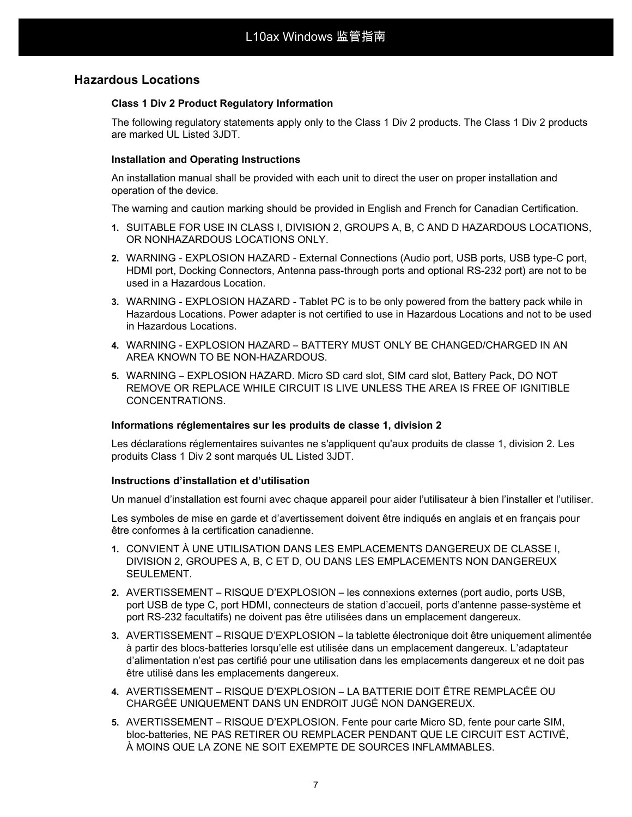#### **Hazardous Locations**

#### **Class 1 Div 2 Product Regulatory Information**

The following regulatory statements apply only to the Class 1 Div 2 products. The Class 1 Div 2 products are marked UL Listed 3JDT.

#### **Installation and Operating Instructions**

An installation manual shall be provided with each unit to direct the user on proper installation and operation of the device.

The warning and caution marking should be provided in English and French for Canadian Certification.

- **1.** SUITABLE FOR USE IN CLASS I, DIVISION 2, GROUPS A, B, C AND D HAZARDOUS LOCATIONS, OR NONHAZARDOUS LOCATIONS ONLY.
- **2.** WARNING EXPLOSION HAZARD External Connections (Audio port, USB ports, USB type-C port, HDMI port, Docking Connectors, Antenna pass-through ports and optional RS-232 port) are not to be used in a Hazardous Location.
- **3.** WARNING EXPLOSION HAZARD Tablet PC is to be only powered from the battery pack while in Hazardous Locations. Power adapter is not certified to use in Hazardous Locations and not to be used in Hazardous Locations.
- **4.** WARNING EXPLOSION HAZARD BATTERY MUST ONLY BE CHANGED/CHARGED IN AN AREA KNOWN TO BE NON-HAZARDOUS.
- **5.** WARNING EXPLOSION HAZARD. Micro SD card slot, SIM card slot, Battery Pack, DO NOT REMOVE OR REPLACE WHILE CIRCUIT IS LIVE UNLESS THE AREA IS FREE OF IGNITIBLE CONCENTRATIONS.

#### **Informations réglementaires sur les produits de classe 1, division 2**

Les déclarations réglementaires suivantes ne s'appliquent qu'aux produits de classe 1, division 2. Les produits Class 1 Div 2 sont marqués UL Listed 3JDT.

#### **Instructions d'installation et d'utilisation**

Un manuel d'installation est fourni avec chaque appareil pour aider l'utilisateur à bien l'installer et l'utiliser.

Les symboles de mise en garde et d'avertissement doivent être indiqués en anglais et en français pour être conformes à la certification canadienne.

- **1.** CONVIENT À UNE UTILISATION DANS LES EMPLACEMENTS DANGEREUX DE CLASSE I, DIVISION 2, GROUPES A, B, C ET D, OU DANS LES EMPLACEMENTS NON DANGEREUX SEULEMENT.
- **2.** AVERTISSEMENT RISQUE D'EXPLOSION les connexions externes (port audio, ports USB, port USB de type C, port HDMI, connecteurs de station d'accueil, ports d'antenne passe-système et port RS-232 facultatifs) ne doivent pas être utilisées dans un emplacement dangereux.
- **3.** AVERTISSEMENT RISQUE D'EXPLOSION la tablette électronique doit être uniquement alimentée à partir des blocs-batteries lorsqu'elle est utilisée dans un emplacement dangereux. L'adaptateur d'alimentation n'est pas certifié pour une utilisation dans les emplacements dangereux et ne doit pas être utilisé dans les emplacements dangereux.
- **4.** AVERTISSEMENT RISQUE D'EXPLOSION LA BATTERIE DOIT ÊTRE REMPLACÉE OU CHARGÉE UNIQUEMENT DANS UN ENDROIT JUGÉ NON DANGEREUX.
- **5.** AVERTISSEMENT RISQUE D'EXPLOSION. Fente pour carte Micro SD, fente pour carte SIM, bloc-batteries, NE PAS RETIRER OU REMPLACER PENDANT QUE LE CIRCUIT EST ACTIVÉ, À MOINS QUE LA ZONE NE SOIT EXEMPTE DE SOURCES INFLAMMABLES.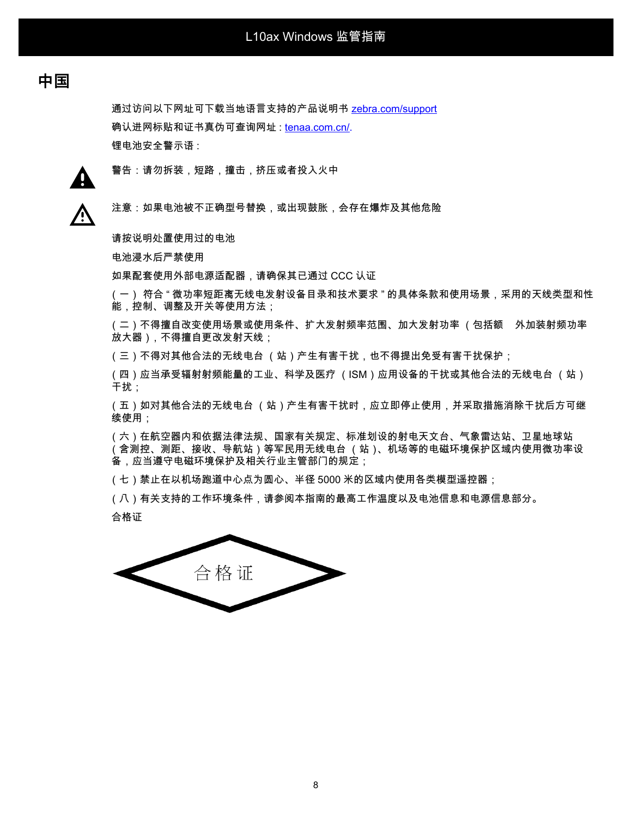## **中国**

通过访问以下网址可下载当地语言支持的产品说明书 [zebra.com/support](http://www.zebra.com/support) 确认进网标贴和证书真伪可查询网址 : [tenaa.com.cn/.](https://www.teena.com.cn/) 锂电池安全警示语 :



警告:请勿拆装,短路,撞击,挤压或者投入火中

⁄^

注意:如果电池被不正确型号替换,或出现鼓胀,会存在爆炸及其他危险

请按说明处置使用过的电池

电池浸水后严禁使用

如果配套使用外部电源适配器,请确保其已通过 CCC 认证

(一) 符合 " 微功率短距离无线电发射设备目录和技术要求 " 的具体条款和使用场景,采用的天线类型和性 能,控制、调整及开关等使用方法;

(二)不得擅自改变使用场景或使用条件、扩大发射频率范围、加大发射功率 (包括额 外加装射频功率 放大器),不得擅自更改发射天线;

(三)不得对其他合法的无线电台 (站)产生有害干扰,也不得提出免受有害干扰保护;

(四)应当承受辐射射频能量的工业、科学及医疗 (ISM)应用设备的干扰或其他合法的无线电台 (站) 干扰;

(五)如对其他合法的无线电台 (站)产生有害干扰时,应立即停止使用,并采取措施消除干扰后方可继 续使用;

(六)在航空器内和依据法律法规、国家有关规定、标准划设的射电天文台、气象雷达站、卫星地球站 (含测控、测距、接收、导航站)等军民用无线电台 (站)、机场等的电磁环境保护区域内使用微功率设 备,应当遵守电磁环境保护及相关行业主管部门的规定;

(七)禁止在以机场跑道中心点为圆心、半径 5000 米的区域内使用各类模型遥控器;

(八)有关支持的工作环境条件,请参阅本指南的最高工作温度以及电池信息和电源信息部分。

合格证

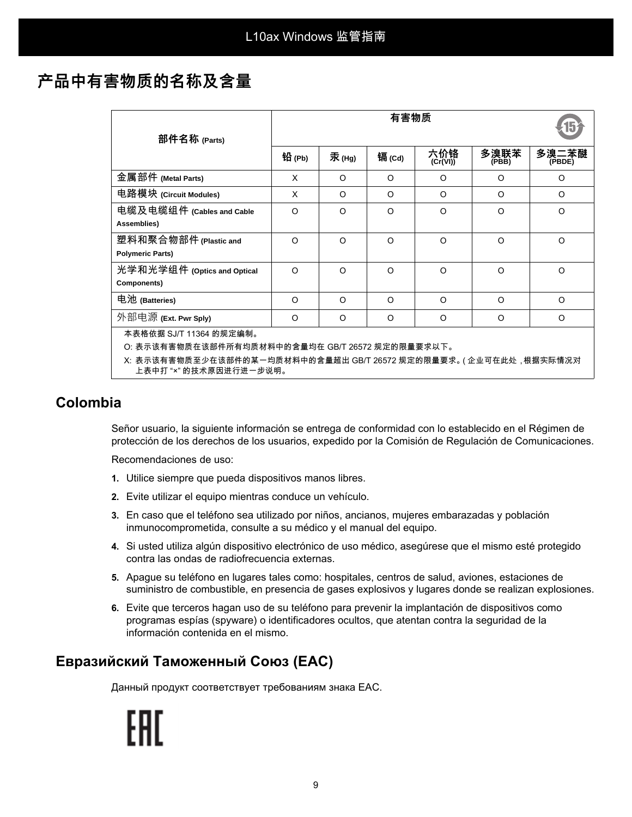## **产品中有害物质的名称及含量**

| 部件名称 (Parts)                                                                                  | 有害物质     |          |          |                 |               |                 |  |  |
|-----------------------------------------------------------------------------------------------|----------|----------|----------|-----------------|---------------|-----------------|--|--|
|                                                                                               | 铅 (Pb)   | 汞(Hg)    | 镉(Cd)    | 六价铬<br>(Cr(VI)) | 多溴联苯<br>(PBB) | 多溴二苯醚<br>(PBDE) |  |  |
| 金属部件 (Metal Parts)                                                                            | X        | O        | $\Omega$ | O               | O             | O               |  |  |
| 电路模块 (Circuit Modules)                                                                        | X        | $\Omega$ | $\Omega$ | $\Omega$        | $\Omega$      | $\Omega$        |  |  |
| 电缆及电缆组件 (Cables and Cable<br>Assemblies)                                                      | $\Omega$ | $\Omega$ | $\Omega$ | $\Omega$        | $\Omega$      | $\Omega$        |  |  |
| 塑料和聚合物部件 (Plastic and<br><b>Polymeric Parts)</b>                                              | $\Omega$ | $\Omega$ | $\Omega$ | $\Omega$        | $\Omega$      | $\circ$         |  |  |
| 光学和光学组件 (Optics and Optical<br>Components)                                                    | $\Omega$ | $\Omega$ | $\Omega$ | O               | $\circ$       | $\Omega$        |  |  |
| 电池 (Batteries)                                                                                | $\Omega$ | $\Omega$ | $\Omega$ | $\Omega$        | $\Omega$      | $\Omega$        |  |  |
| 外部电源 (Ext. Pwr Sply)                                                                          | $\Omega$ | $\Omega$ | $\Omega$ | $\Omega$        | $\Omega$      | $\Omega$        |  |  |
| 本表格依据 SJ/T 11364 的规定编制。                                                                       |          |          |          |                 |               |                 |  |  |
| O: 表示该有害物质在该部件所有均质材料中的含量均在 GB/T 26572 规定的限量要求以下。                                              |          |          |          |                 |               |                 |  |  |
| X: 表示该有害物质至少在该部件的某一均质材料中的含量超出 GB/T 26572 规定的限量要求。( 企业可在此处 , 根据实际情况对<br>上表中打 "×" 的技术原因进行进一步说明。 |          |          |          |                 |               |                 |  |  |

## **Colombia**

Señor usuario, la siguiente información se entrega de conformidad con lo establecido en el Régimen de protección de los derechos de los usuarios, expedido por la Comisión de Regulación de Comunicaciones.

Recomendaciones de uso:

- **1.** Utilice siempre que pueda dispositivos manos libres.
- **2.** Evite utilizar el equipo mientras conduce un vehículo.
- **3.** En caso que el teléfono sea utilizado por niños, ancianos, mujeres embarazadas y población inmunocomprometida, consulte a su médico y el manual del equipo.
- **4.** Si usted utiliza algún dispositivo electrónico de uso médico, asegúrese que el mismo esté protegido contra las ondas de radiofrecuencia externas.
- **5.** Apague su teléfono en lugares tales como: hospitales, centros de salud, aviones, estaciones de suministro de combustible, en presencia de gases explosivos y lugares donde se realizan explosiones.
- **6.** Evite que terceros hagan uso de su teléfono para prevenir la implantación de dispositivos como programas espías (spyware) o identificadores ocultos, que atentan contra la seguridad de la información contenida en el mismo.

## **Евразийский Таможенный Союз (EAC)**

Данный продукт соответствует требованиям знака EAC.

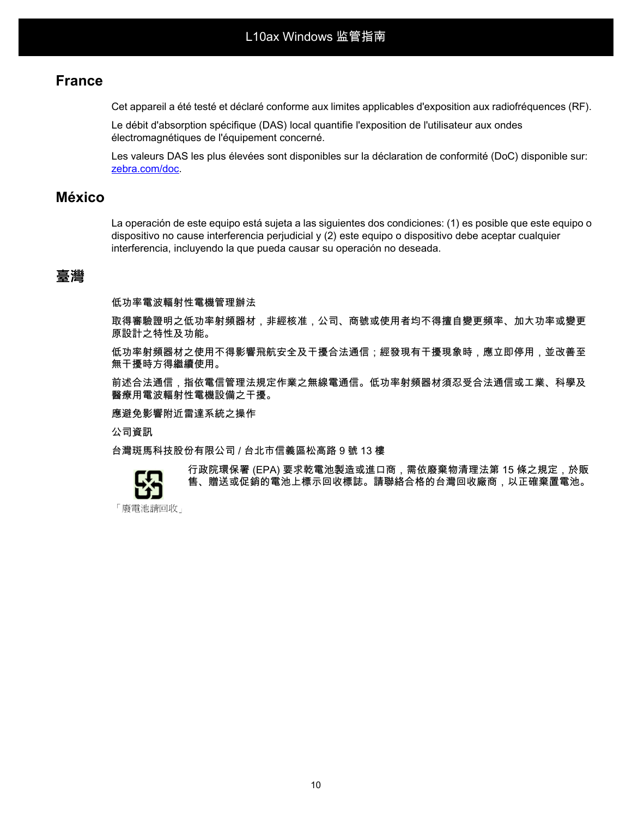## **France**

Cet appareil a été testé et déclaré conforme aux limites applicables d'exposition aux radiofréquences (RF).

Le débit d'absorption spécifique (DAS) local quantifie l'exposition de l'utilisateur aux ondes électromagnétiques de l'équipement concerné.

Les valeurs DAS les plus élevées sont disponibles sur la déclaration de conformité (DoC) disponible sur: [zebra.com/doc.](http://www.zebra.com/doc)

### **México**

La operación de este equipo está sujeta a las siguientes dos condiciones: (1) es posible que este equipo o dispositivo no cause interferencia perjudicial y (2) este equipo o dispositivo debe aceptar cualquier interferencia, incluyendo la que pueda causar su operación no deseada.

## **臺灣**

低功率電波輻射性電機管理辦法

取得審驗證明之低功率射頻器材,非經核准,公司、商號或使用者均不得擅自變更頻率、加大功率或變更 原設計之特性及功能。

低功率射頻器材之使用不得影響飛航安全及干擾合法通信;經發現有干擾現象時,應立即停用,並改善至 無干擾時方得繼續使用。

前述合法通信,指依電信管理法規定作業之無線電通信。低功率射頻器材須忍受合法通信或工業、科學及 醫療用電波輻射性電機設備之干擾。

應避免影響附近雷達系統之操作

公司資訊

台灣斑馬科技股份有限公司 / 台北市信義區松高路 9 號 13 樓



行政院環保署 (EPA) 要求乾電池製造或進口商,需依廢棄物清理法第 15 條之規定,於販 售、贈送或促銷的電池上標示回收標誌。請聯絡合格的台灣回收廠商,以正確棄置電池。

「廢電池請回收」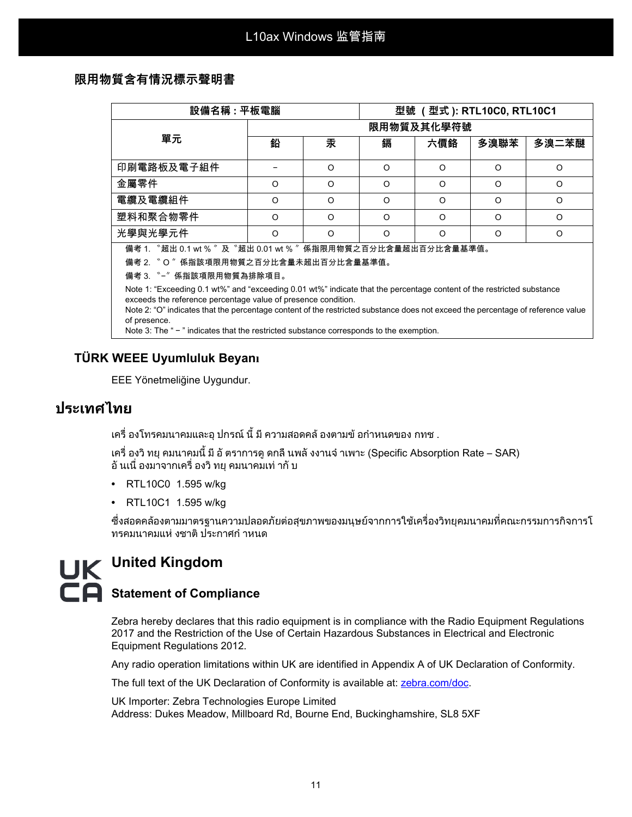### **限用物質含有情況標示聲明書**

| 設備名稱 : 平板電腦                                                                                                                                                                                                                                                                                                               |            |          | 型號 (型式 ): RTL10C0, RTL10C1 |          |          |          |  |  |  |
|---------------------------------------------------------------------------------------------------------------------------------------------------------------------------------------------------------------------------------------------------------------------------------------------------------------------------|------------|----------|----------------------------|----------|----------|----------|--|--|--|
| 單元                                                                                                                                                                                                                                                                                                                        | 限用物質及其化學符號 |          |                            |          |          |          |  |  |  |
|                                                                                                                                                                                                                                                                                                                           | 鉛          | 汞        | 鎘                          | 六價鉻      | 多溴聯苯     | 多溴二苯醚    |  |  |  |
| 印刷電路板及電子組件                                                                                                                                                                                                                                                                                                                |            | $\Omega$ | $\Omega$                   | $\Omega$ | $\Omega$ | $\circ$  |  |  |  |
| 金屬零件                                                                                                                                                                                                                                                                                                                      | O          | $\Omega$ | O                          | $\Omega$ | O        | O        |  |  |  |
| 電纜及電纜組件                                                                                                                                                                                                                                                                                                                   | O          | $\Omega$ | O                          | $\Omega$ | $\Omega$ | $\Omega$ |  |  |  |
| 塑料和聚合物零件                                                                                                                                                                                                                                                                                                                  | $\Omega$   | $\Omega$ | O                          | $\Omega$ | $\Omega$ | $\Omega$ |  |  |  |
| 光學與光學元件                                                                                                                                                                                                                                                                                                                   | O          | $\Omega$ | $\Omega$                   | O        | $\Omega$ | O        |  |  |  |
| 備考 1. "超出 0.1 wt % "及 "超出 0.01 wt % " 係指限用物質之百分比含量超出百分比含量基準值。<br>備考 2. 〝O〞係指該項限用物質之百分比含量未超出百分比含量基準值。<br>備考 3. "-"係指該項限用物質為排除項目。                                                                                                                                                                                           |            |          |                            |          |          |          |  |  |  |
| Note 1: "Exceeding 0.1 wt%" and "exceeding 0.01 wt%" indicate that the percentage content of the restricted substance<br>exceeds the reference percentage value of presence condition.<br>Note 2: "O" indicates that the percentage content of the restricted substance does not exceed the percentage of reference value |            |          |                            |          |          |          |  |  |  |

of presence.

Note 3: The " - " indicates that the restricted substance corresponds to the exemption.

### **TÜRK WEEE Uyumluluk Beyanı**

EEE Yönetmeliğine Uygundur.

## **ประเทศไทย**

ี เครื่ องโทรคมนาคมและอุ ปกรณ์ นี้ มี ความสอดคล้ องตามข้ อกำหนดของ กทช .

เครื่ องวิทยุคมนาคมนี้มีอัตราการดูดกลืนพลังงานจําเพาะ (Specific Absorption Rate – SAR) ้อั นเนื่ องมาจากเครื่ องวิ ทย คมนาคมเท่ ากั บ

- **•** RTL10C0 1.595 w/kg
- **•** RTL10C1 1.595 w/kg

ซึ่งสอดคลองตามมาตรฐานความปลอดภัยตอสุขภาพของมนุษยจากการใชเครื่องวิทยุคมนาคมที่คณะกรรมการกิจการโ ทรคมนาคมแห งชาติประกาศกําหนด

# **United Kingdom E** Statement of Compliance

Zebra hereby declares that this radio equipment is in compliance with the Radio Equipment Regulations 2017 and the Restriction of the Use of Certain Hazardous Substances in Electrical and Electronic Equipment Regulations 2012.

Any radio operation limitations within UK are identified in Appendix A of UK Declaration of Conformity.

[The full text of the UK Declaration of Conformity is available at:](http://www.zebra.com/doc) zebra.com/doc.

UK Importer: Zebra Technologies Europe Limited Address: Dukes Meadow, Millboard Rd, Bourne End, Buckinghamshire, SL8 5XF